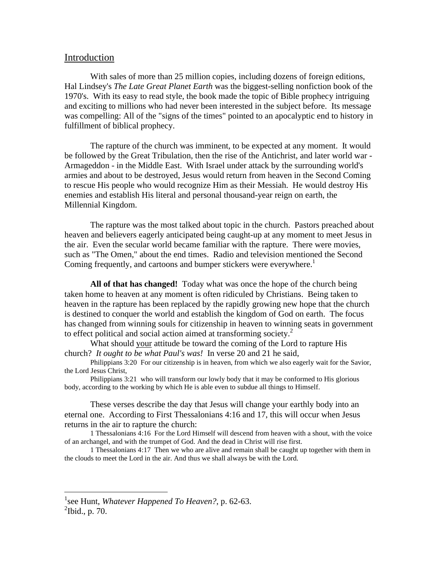## Introduction

With sales of more than 25 million copies, including dozens of foreign editions, Hal Lindsey's *The Late Great Planet Earth* was the biggest-selling nonfiction book of the 1970's. With its easy to read style, the book made the topic of Bible prophecy intriguing and exciting to millions who had never been interested in the subject before. Its message was compelling: All of the "signs of the times" pointed to an apocalyptic end to history in fulfillment of biblical prophecy.

The rapture of the church was imminent, to be expected at any moment. It would be followed by the Great Tribulation, then the rise of the Antichrist, and later world war - Armageddon - in the Middle East. With Israel under attack by the surrounding world's armies and about to be destroyed, Jesus would return from heaven in the Second Coming to rescue His people who would recognize Him as their Messiah. He would destroy His enemies and establish His literal and personal thousand-year reign on earth, the Millennial Kingdom.

The rapture was the most talked about topic in the church. Pastors preached about heaven and believers eagerly anticipated being caught-up at any moment to meet Jesus in the air. Even the secular world became familiar with the rapture. There were movies, such as "The Omen," about the end times. Radio and television mentioned the Second Coming frequently, and cartoons and bumper stickers were everywhere.<sup>1</sup>

**All of that has changed!** Today what was once the hope of the church being taken home to heaven at any moment is often ridiculed by Christians. Being taken to heaven in the rapture has been replaced by the rapidly growing new hope that the church is destined to conquer the world and establish the kingdom of God on earth. The focus has changed from winning souls for citizenship in heaven to winning seats in government to effect political and social action aimed at transforming society.<sup>2</sup>

What should your attitude be toward the coming of the Lord to rapture His church? *It ought to be what Paul's was!* In verse 20 and 21 he said,

Philippians 3:20 For our citizenship is in heaven, from which we also eagerly wait for the Savior, the Lord Jesus Christ,

Philippians 3:21 who will transform our lowly body that it may be conformed to His glorious body, according to the working by which He is able even to subdue all things to Himself.

These verses describe the day that Jesus will change your earthly body into an eternal one. According to First Thessalonians 4:16 and 17, this will occur when Jesus returns in the air to rapture the church:

1 Thessalonians 4:16 For the Lord Himself will descend from heaven with a shout, with the voice of an archangel, and with the trumpet of God. And the dead in Christ will rise first.

1 Thessalonians 4:17 Then we who are alive and remain shall be caught up together with them in the clouds to meet the Lord in the air. And thus we shall always be with the Lord.

 $\overline{a}$ 

<sup>1</sup> see Hunt, *Whatever Happened To Heaven?*, p. 62-63.  $\mathrm{^{2}Ibid.}$ , p. 70.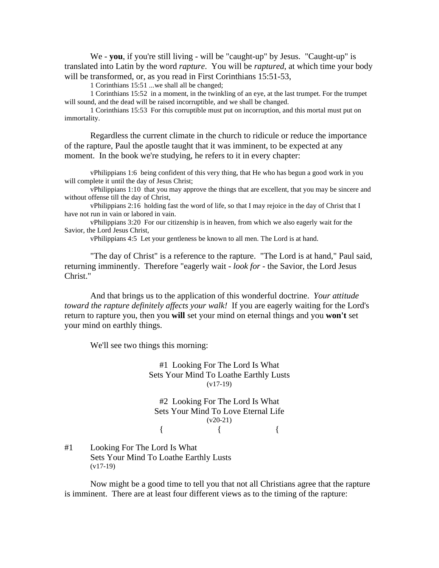We - **you**, if you're still living - will be "caught-up" by Jesus. "Caught-up" is translated into Latin by the word *rapture*. You will be *raptured*, at which time your body will be transformed, or, as you read in First Corinthians 15:51-53,

1 Corinthians 15:51 ...we shall all be changed;

1 Corinthians 15:52 in a moment, in the twinkling of an eye, at the last trumpet. For the trumpet will sound, and the dead will be raised incorruptible, and we shall be changed.

1 Corinthians 15:53 For this corruptible must put on incorruption, and this mortal must put on immortality.

Regardless the current climate in the church to ridicule or reduce the importance of the rapture, Paul the apostle taught that it was imminent, to be expected at any moment. In the book we're studying, he refers to it in every chapter:

vPhilippians 1:6 being confident of this very thing, that He who has begun a good work in you will complete it until the day of Jesus Christ;

vPhilippians 1:10 that you may approve the things that are excellent, that you may be sincere and without offense till the day of Christ,

vPhilippians 2:16 holding fast the word of life, so that I may rejoice in the day of Christ that I have not run in vain or labored in vain.

vPhilippians 3:20 For our citizenship is in heaven, from which we also eagerly wait for the Savior, the Lord Jesus Christ,

vPhilippians 4:5 Let your gentleness be known to all men. The Lord is at hand.

"The day of Christ" is a reference to the rapture. "The Lord is at hand," Paul said, returning imminently. Therefore "eagerly wait - *look for* - the Savior, the Lord Jesus Christ."

And that brings us to the application of this wonderful doctrine. *Your attitude toward the rapture definitely affects your walk!* If you are eagerly waiting for the Lord's return to rapture you, then you **will** set your mind on eternal things and you **won't** set your mind on earthly things.

We'll see two things this morning:

#1 Looking For The Lord Is What Sets Your Mind To Loathe Earthly Lusts (v17-19)

#2 Looking For The Lord Is What Sets Your Mind To Love Eternal Life  $(v20-21)$ {  $\{$   $\}$ 

#1 Looking For The Lord Is What Sets Your Mind To Loathe Earthly Lusts (v17-19)

Now might be a good time to tell you that not all Christians agree that the rapture is imminent. There are at least four different views as to the timing of the rapture: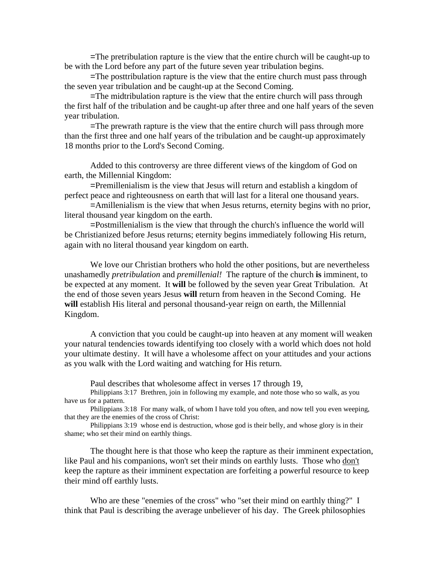=The pretribulation rapture is the view that the entire church will be caught-up to be with the Lord before any part of the future seven year tribulation begins.

=The posttribulation rapture is the view that the entire church must pass through the seven year tribulation and be caught-up at the Second Coming.

=The midtribulation rapture is the view that the entire church will pass through the first half of the tribulation and be caught-up after three and one half years of the seven year tribulation.

=The prewrath rapture is the view that the entire church will pass through more than the first three and one half years of the tribulation and be caught-up approximately 18 months prior to the Lord's Second Coming.

Added to this controversy are three different views of the kingdom of God on earth, the Millennial Kingdom:

=Premillenialism is the view that Jesus will return and establish a kingdom of perfect peace and righteousness on earth that will last for a literal one thousand years.

=Amillenialism is the view that when Jesus returns, eternity begins with no prior, literal thousand year kingdom on the earth.

=Postmillenialism is the view that through the church's influence the world will be Christianized before Jesus returns; eternity begins immediately following His return, again with no literal thousand year kingdom on earth.

We love our Christian brothers who hold the other positions, but are nevertheless unashamedly *pretribulation* and *premillenial!* The rapture of the church **is** imminent, to be expected at any moment. It **will** be followed by the seven year Great Tribulation. At the end of those seven years Jesus **will** return from heaven in the Second Coming. He will establish His literal and personal thousand-year reign on earth, the Millennial Kingdom.

A conviction that you could be caught-up into heaven at any moment will weaken your natural tendencies towards identifying too closely with a world which does not hold your ultimate destiny. It will have a wholesome affect on your attitudes and your actions as you walk with the Lord waiting and watching for His return.

Paul describes that wholesome affect in verses 17 through 19,

Philippians 3:17 Brethren, join in following my example, and note those who so walk, as you have us for a pattern.

Philippians 3:18 For many walk, of whom I have told you often, and now tell you even weeping, that they are the enemies of the cross of Christ:

Philippians 3:19 whose end is destruction, whose god is their belly, and whose glory is in their shame; who set their mind on earthly things.

The thought here is that those who keep the rapture as their imminent expectation, like Paul and his companions, won't set their minds on earthly lusts. Those who don't keep the rapture as their imminent expectation are forfeiting a powerful resource to keep their mind off earthly lusts.

Who are these "enemies of the cross" who "set their mind on earthly thing?" I think that Paul is describing the average unbeliever of his day. The Greek philosophies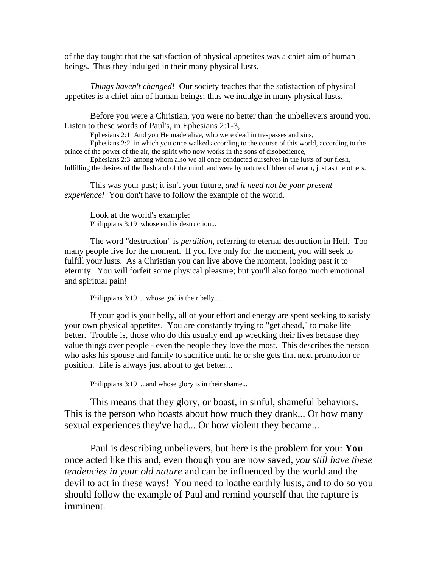of the day taught that the satisfaction of physical appetites was a chief aim of human beings. Thus they indulged in their many physical lusts.

*Things haven't changed!* Our society teaches that the satisfaction of physical appetites is a chief aim of human beings; thus we indulge in many physical lusts.

Before you were a Christian, you were no better than the unbelievers around you. Listen to these words of Paul's, in Ephesians 2:1-3,

Ephesians 2:1 And you He made alive, who were dead in trespasses and sins,

Ephesians 2:2 in which you once walked according to the course of this world, according to the prince of the power of the air, the spirit who now works in the sons of disobedience,

Ephesians 2:3 among whom also we all once conducted ourselves in the lusts of our flesh, fulfilling the desires of the flesh and of the mind, and were by nature children of wrath, just as the others.

This was your past; it isn't your future, *and it need not be your present experience!* You don't have to follow the example of the world.

Look at the world's example: Philippians 3:19 whose end is destruction...

The word "destruction" is *perdition*, referring to eternal destruction in Hell. Too many people live for the moment. If you live only for the moment, you will seek to fulfill your lusts. As a Christian you can live above the moment, looking past it to eternity. You will forfeit some physical pleasure; but you'll also forgo much emotional and spiritual pain!

Philippians 3:19 ...whose god is their belly...

If your god is your belly, all of your effort and energy are spent seeking to satisfy your own physical appetites. You are constantly trying to "get ahead," to make life better. Trouble is, those who do this usually end up wrecking their lives because they value things over people - even the people they love the most. This describes the person who asks his spouse and family to sacrifice until he or she gets that next promotion or position. Life is always just about to get better...

Philippians 3:19 ...and whose glory is in their shame...

This means that they glory, or boast, in sinful, shameful behaviors. This is the person who boasts about how much they drank... Or how many sexual experiences they've had... Or how violent they became...

Paul is describing unbelievers, but here is the problem for you: **You**  once acted like this and, even though you are now saved, *you still have these tendencies in your old nature* and can be influenced by the world and the devil to act in these ways! You need to loathe earthly lusts, and to do so you should follow the example of Paul and remind yourself that the rapture is imminent.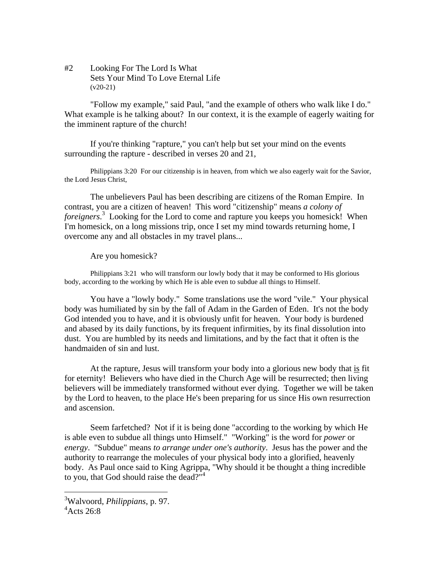#2 Looking For The Lord Is What Sets Your Mind To Love Eternal Life  $(v20-21)$ 

"Follow my example," said Paul, "and the example of others who walk like I do." What example is he talking about? In our context, it is the example of eagerly waiting for the imminent rapture of the church!

If you're thinking "rapture," you can't help but set your mind on the events surrounding the rapture - described in verses 20 and 21,

Philippians 3:20 For our citizenship is in heaven, from which we also eagerly wait for the Savior, the Lord Jesus Christ,

The unbelievers Paul has been describing are citizens of the Roman Empire. In contrast, you are a citizen of heaven! This word "citizenship" means *a colony of foreigners*. 3 Looking for the Lord to come and rapture you keeps you homesick! When I'm homesick, on a long missions trip, once I set my mind towards returning home, I overcome any and all obstacles in my travel plans...

Are you homesick?

Philippians 3:21 who will transform our lowly body that it may be conformed to His glorious body, according to the working by which He is able even to subdue all things to Himself.

You have a "lowly body." Some translations use the word "vile." Your physical body was humiliated by sin by the fall of Adam in the Garden of Eden. It's not the body God intended you to have, and it is obviously unfit for heaven. Your body is burdened and abased by its daily functions, by its frequent infirmities, by its final dissolution into dust. You are humbled by its needs and limitations, and by the fact that it often is the handmaiden of sin and lust.

At the rapture, Jesus will transform your body into a glorious new body that is fit for eternity! Believers who have died in the Church Age will be resurrected; then living believers will be immediately transformed without ever dying. Together we will be taken by the Lord to heaven, to the place He's been preparing for us since His own resurrection and ascension.

Seem farfetched? Not if it is being done "according to the working by which He is able even to subdue all things unto Himself." "Working" is the word for *power* or *energy*. "Subdue" means *to arrange under one's authority*. Jesus has the power and the authority to rearrange the molecules of your physical body into a glorified, heavenly body. As Paul once said to King Agrippa, "Why should it be thought a thing incredible to you, that God should raise the dead?"<sup>4</sup>

 $\overline{a}$ 

<sup>3</sup> Walvoord, *Philippians*, p. 97.

 $4$ Acts 26:8